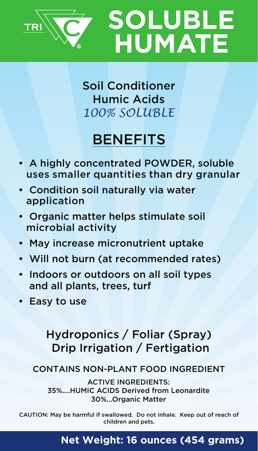



*100% SOLUBLE* Soil Conditioner Humic Acids

## BENEFITS

- A highly concentrated POWDER, soluble uses smaller quantities than dry granular
- Condition soil naturally via water application
- Organic matter helps stimulate soil microbial activity
- May increase micronutrient uptake
- Will not burn (at recommended rates)
- Indoors or outdoors on all soil types and all plants, trees, turf
- Easy to use

## Hydroponics / Foliar (Spray) Drip Irrigation / Fertigation

## CONTAINS NON-PLANT FOOD INGREDIENT

35%....HUMIC ACIDS Derived from Leonardite 30%...Organic Matter ACTIVE INGREDIENTS:

CAUTION: May be harmful if swallowed. Do not inhale. Keep out of reach of children and pets.

## **Net Weight: 16 ounces (454 grams)**